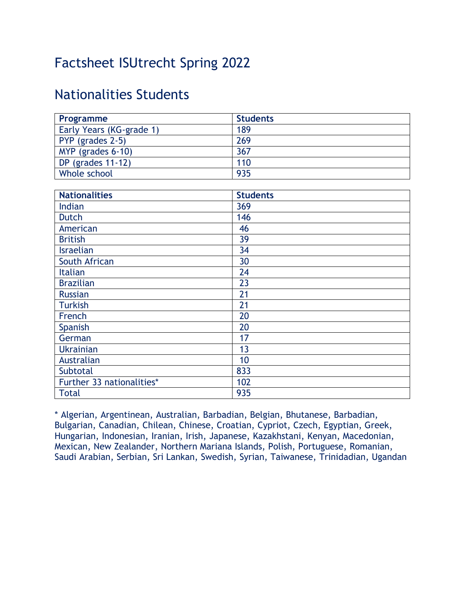# Factsheet ISUtrecht Spring 2022

## Nationalities Students

| Programme                 | <b>Students</b> |
|---------------------------|-----------------|
| Early Years (KG-grade 1)  | 189             |
| PYP (grades 2-5)          | 269             |
| MYP (grades 6-10)         | 367             |
| DP (grades $11-12$ )      | 110             |
| Whole school              | 935             |
|                           |                 |
| <b>Nationalities</b>      | <b>Students</b> |
| Indian                    | 369             |
| Dutch                     | 146             |
| American                  | 46              |
| <b>British</b>            | 39              |
| <b>Israelian</b>          | 34              |
| South African             | 30              |
| <b>Italian</b>            | 24              |
| <b>Brazilian</b>          | 23              |
| <b>Russian</b>            | 21              |
| <b>Turkish</b>            | 21              |
| French                    | 20              |
| Spanish                   | 20              |
| German                    | 17              |
| <b>Ukrainian</b>          | $\overline{13}$ |
| Australian                | 10              |
| Subtotal                  | 833             |
| Further 33 nationalities* | 102             |
| <b>Total</b>              | 935             |

\* Algerian, Argentinean, Australian, Barbadian, Belgian, Bhutanese, Barbadian, Bulgarian, Canadian, Chilean, Chinese, Croatian, Cypriot, Czech, Egyptian, Greek, Hungarian, Indonesian, Iranian, Irish, Japanese, Kazakhstani, Kenyan, Macedonian, Mexican, New Zealander, Northern Mariana Islands, Polish, Portuguese, Romanian, Saudi Arabian, Serbian, Sri Lankan, Swedish, Syrian, Taiwanese, Trinidadian, Ugandan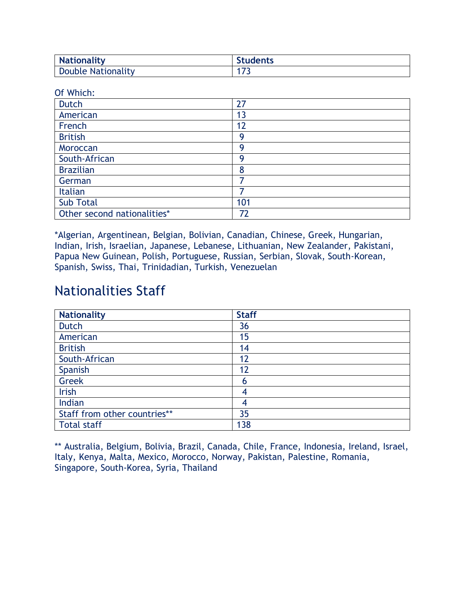| <b>Nationality</b> | <b>Students</b> |
|--------------------|-----------------|
| Double Nationality | - -             |

Of Which:

| <b>Dutch</b>                | 27  |
|-----------------------------|-----|
| American                    | 13  |
| French                      | 12  |
| <b>British</b>              | Q   |
| Moroccan                    | Q   |
| South-African               | q   |
| <b>Brazilian</b>            | 8   |
| German                      |     |
| Italian                     |     |
| <b>Sub Total</b>            | 101 |
| Other second nationalities* | 72  |

\*Algerian, Argentinean, Belgian, Bolivian, Canadian, Chinese, Greek, Hungarian, Indian, Irish, Israelian, Japanese, Lebanese, Lithuanian, New Zealander, Pakistani, Papua New Guinean, Polish, Portuguese, Russian, Serbian, Slovak, South-Korean, Spanish, Swiss, Thai, Trinidadian, Turkish, Venezuelan

### Nationalities Staff

| <b>Nationality</b>           | <b>Staff</b> |
|------------------------------|--------------|
| <b>Dutch</b>                 | 36           |
| American                     | 15           |
| <b>British</b>               | 14           |
| South-African                | 12           |
| Spanish                      | 12           |
| <b>Greek</b>                 | 6            |
| Irish                        |              |
| Indian                       | 4            |
| Staff from other countries** | 35           |
| <b>Total staff</b>           | 138          |

\*\* Australia, Belgium, Bolivia, Brazil, Canada, Chile, France, Indonesia, Ireland, Israel, Italy, Kenya, Malta, Mexico, Morocco, Norway, Pakistan, Palestine, Romania, Singapore, South-Korea, Syria, Thailand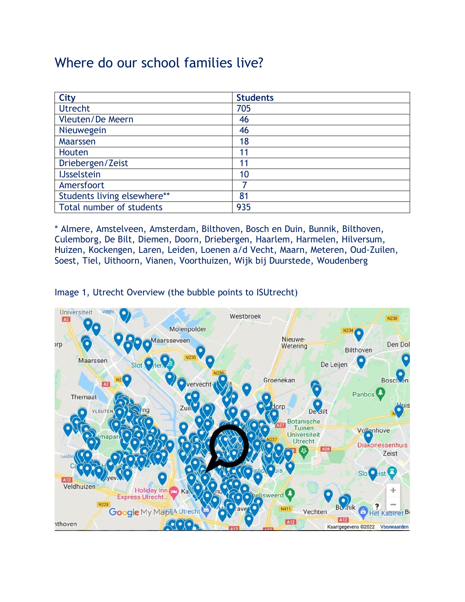## Where do our school families live?

| <b>City</b>                 | <b>Students</b> |
|-----------------------------|-----------------|
| <b>Utrecht</b>              | 705             |
| Vleuten/De Meern            | 46              |
| Nieuwegein                  | 46              |
| Maarssen                    | 18              |
| Houten                      | 11              |
| Driebergen/Zeist            | 11              |
| <b>IJsselstein</b>          | 10              |
| Amersfoort                  |                 |
| Students living elsewhere** | 81              |
| Total number of students    | 935             |

\* Almere, Amstelveen, Amsterdam, Bilthoven, Bosch en Duin, Bunnik, Bilthoven, Culemborg, De Bilt, Diemen, Doorn, Driebergen, Haarlem, Harmelen, Hilversum, Huizen, Kockengen, Laren, Leiden, Loenen a/d Vecht, Maarn, Meteren, Oud-Zuilen, Soest, Tiel, Uithoorn, Vianen, Voorthuizen, Wijk bij Duurstede, Woudenberg

Image 1, Utrecht Overview (the bubble points to ISUtrecht)

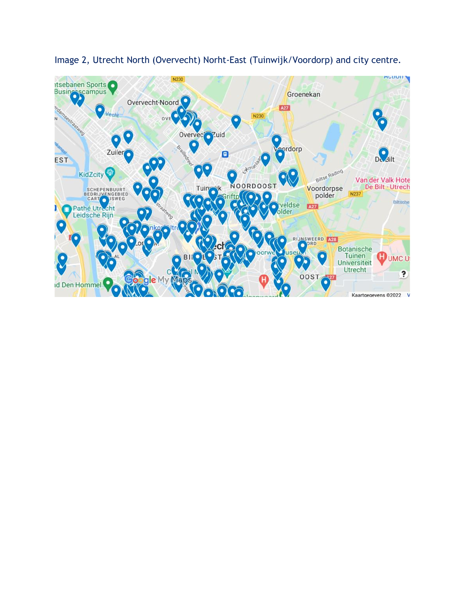

Image 2, Utrecht North (Overvecht) Norht-East (Tuinwijk/Voordorp) and city centre.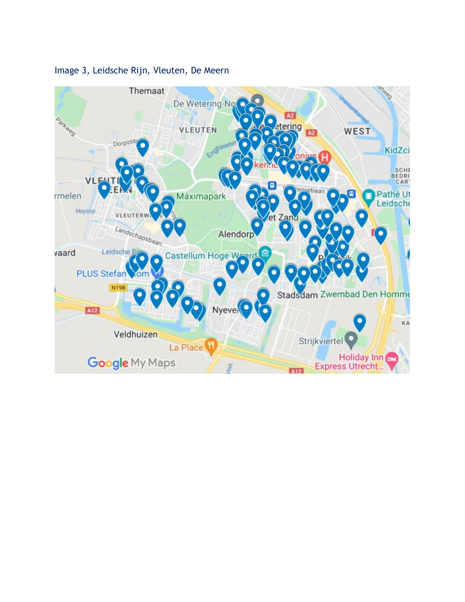

#### Image 3, Leidsche Rijn, Vleuten, De Meern